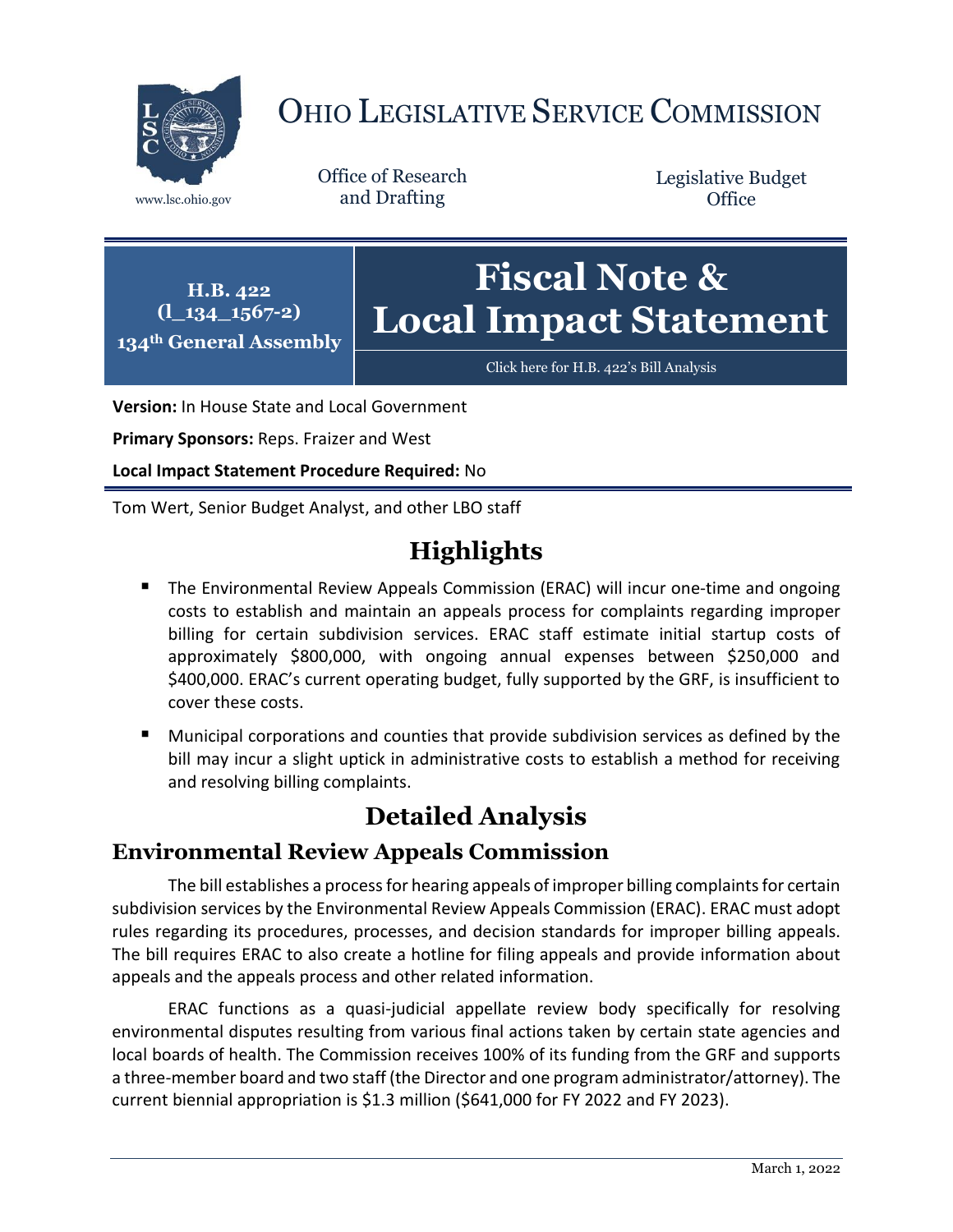

# OHIO LEGISLATIVE SERVICE COMMISSION

Office of Research www.lsc.ohio.gov and Drafting

Legislative Budget **Office** 



[Click here for H.B. 422](https://www.legislature.ohio.gov/legislation/legislation-documents?id=GA134-HB-422)'s Bill Analysis

**Version:** In House State and Local Government

**Primary Sponsors:** Reps. Fraizer and West

**Local Impact Statement Procedure Required:** No

Tom Wert, Senior Budget Analyst, and other LBO staff

## **Highlights**

- The Environmental Review Appeals Commission (ERAC) will incur one-time and ongoing costs to establish and maintain an appeals process for complaints regarding improper billing for certain subdivision services. ERAC staff estimate initial startup costs of approximately \$800,000, with ongoing annual expenses between \$250,000 and \$400,000. ERAC's current operating budget, fully supported by the GRF, is insufficient to cover these costs.
- Municipal corporations and counties that provide subdivision services as defined by the bill may incur a slight uptick in administrative costs to establish a method for receiving and resolving billing complaints.

## **Detailed Analysis**

#### **Environmental Review Appeals Commission**

The bill establishes a process for hearing appeals of improper billing complaints for certain subdivision services by the Environmental Review Appeals Commission (ERAC). ERAC must adopt rules regarding its procedures, processes, and decision standards for improper billing appeals. The bill requires ERAC to also create a hotline for filing appeals and provide information about appeals and the appeals process and other related information.

ERAC functions as a quasi-judicial appellate review body specifically for resolving environmental disputes resulting from various final actions taken by certain state agencies and local boards of health. The Commission receives 100% of its funding from the GRF and supports a three-member board and two staff (the Director and one program administrator/attorney). The current biennial appropriation is \$1.3 million (\$641,000 for FY 2022 and FY 2023).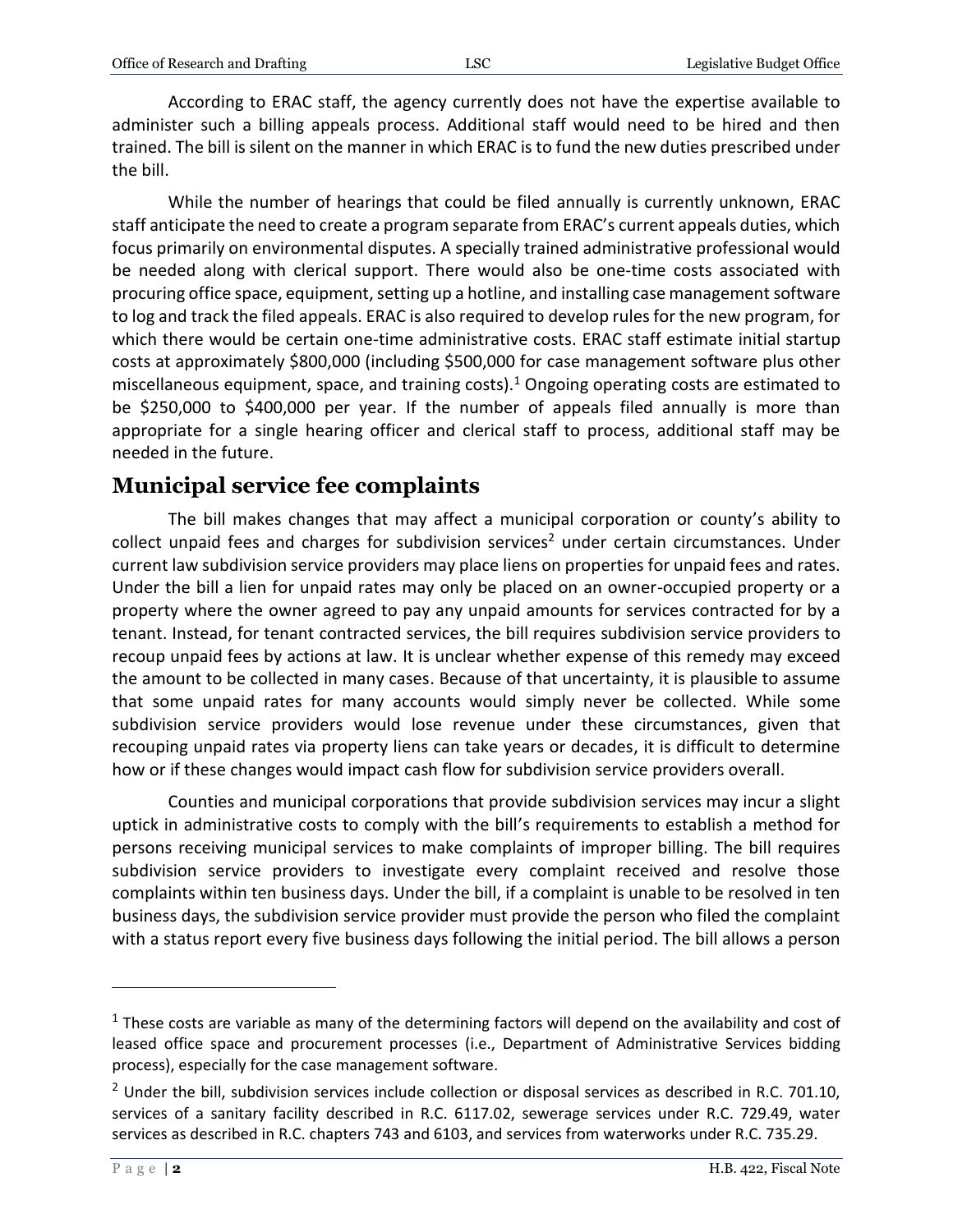According to ERAC staff, the agency currently does not have the expertise available to administer such a billing appeals process. Additional staff would need to be hired and then trained. The bill is silent on the manner in which ERAC is to fund the new duties prescribed under the bill.

While the number of hearings that could be filed annually is currently unknown, ERAC staff anticipate the need to create a program separate from ERAC's current appeals duties, which focus primarily on environmental disputes. A specially trained administrative professional would be needed along with clerical support. There would also be one-time costs associated with procuring office space, equipment, setting up a hotline, and installing case management software to log and track the filed appeals. ERAC is also required to develop rules for the new program, for which there would be certain one-time administrative costs. ERAC staff estimate initial startup costs at approximately \$800,000 (including \$500,000 for case management software plus other miscellaneous equipment, space, and training costs).<sup>1</sup> Ongoing operating costs are estimated to be \$250,000 to \$400,000 per year. If the number of appeals filed annually is more than appropriate for a single hearing officer and clerical staff to process, additional staff may be needed in the future.

### **Municipal service fee complaints**

The bill makes changes that may affect a municipal corporation or county's ability to  $collect$  unpaid fees and charges for subdivision services<sup>2</sup> under certain circumstances. Under current law subdivision service providers may place liens on properties for unpaid fees and rates. Under the bill a lien for unpaid rates may only be placed on an owner-occupied property or a property where the owner agreed to pay any unpaid amounts for services contracted for by a tenant. Instead, for tenant contracted services, the bill requires subdivision service providers to recoup unpaid fees by actions at law. It is unclear whether expense of this remedy may exceed the amount to be collected in many cases. Because of that uncertainty, it is plausible to assume that some unpaid rates for many accounts would simply never be collected. While some subdivision service providers would lose revenue under these circumstances, given that recouping unpaid rates via property liens can take years or decades, it is difficult to determine how or if these changes would impact cash flow for subdivision service providers overall.

Counties and municipal corporations that provide subdivision services may incur a slight uptick in administrative costs to comply with the bill's requirements to establish a method for persons receiving municipal services to make complaints of improper billing. The bill requires subdivision service providers to investigate every complaint received and resolve those complaints within ten business days. Under the bill, if a complaint is unable to be resolved in ten business days, the subdivision service provider must provide the person who filed the complaint with a status report every five business days following the initial period. The bill allows a person

 $\overline{a}$ 

 $1$  These costs are variable as many of the determining factors will depend on the availability and cost of leased office space and procurement processes (i.e., Department of Administrative Services bidding process), especially for the case management software.

<sup>&</sup>lt;sup>2</sup> Under the bill, subdivision services include collection or disposal services as described in R.C. 701.10, services of a sanitary facility described in R.C. 6117.02, sewerage services under R.C. 729.49, water services as described in R.C. chapters 743 and 6103, and services from waterworks under R.C. 735.29.